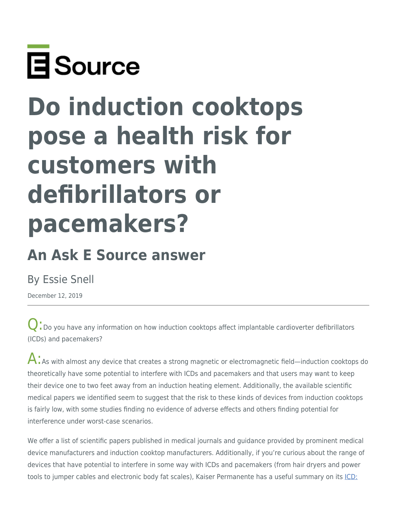

# **Do induction cooktops pose a health risk for customers with defibrillators or pacemakers?**

# **An Ask E Source answer**

## By Essie Snell

December 12, 2019

**Q**: Do you have any information on how induction cooktops affect implantable cardioverter defibrillators (ICDs) and pacemakers?

 $\mathsf{A}$ : As with almost any device that creates a strong magnetic or electromagnetic field—induction cooktops do theoretically have some potential to interfere with ICDs and pacemakers and that users may want to keep their device one to two feet away from an induction heating element. Additionally, the available scientific medical papers we identified seem to suggest that the risk to these kinds of devices from induction cooktops is fairly low, with some studies finding no evidence of adverse effects and others finding potential for interference under worst-case scenarios.

We offer a list of scientific papers published in medical journals and guidance provided by prominent medical device manufacturers and induction cooktop manufacturers. Additionally, if you're curious about the range of devices that have potential to interfere in some way with ICDs and pacemakers (from hair dryers and power tools to jumper cables and electronic body fat scales), Kaiser Permanente has a useful summary on its [ICD:](https://wa.kaiserpermanente.org/kbase/topic.jhtml?docId=tb1971#tb1972)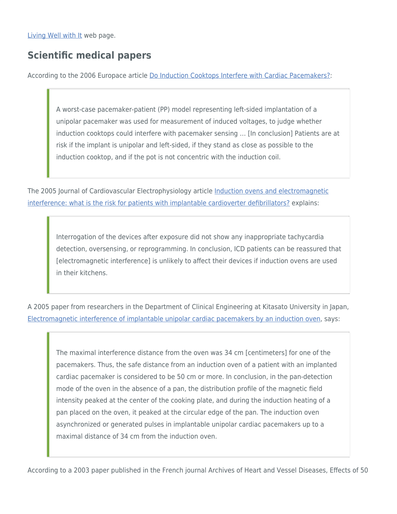[Living Well with It](https://wa.kaiserpermanente.org/kbase/topic.jhtml?docId=tb1971#tb1972) web page.

### **Scientific medical papers**

According to the 2006 Europace article [Do Induction Cooktops Interfere with Cardiac Pacemakers?](https://www.researchgate.net/publication/7144835_Do_induction_cooktops_interfere_with_cardiac_pacemakers):

A worst-case pacemaker-patient (PP) model representing left-sided implantation of a unipolar pacemaker was used for measurement of induced voltages, to judge whether induction cooktops could interfere with pacemaker sensing … [In conclusion] Patients are at risk if the implant is unipolar and left-sided, if they stand as close as possible to the induction cooktop, and if the pot is not concentric with the induction coil.

The 2005 Journal of Cardiovascular Electrophysiology article [Induction ovens and electromagnetic](https://pubmed.ncbi.nlm.nih.gov/15828884/) [interference: what is the risk for patients with implantable cardioverter defibrillators?](https://pubmed.ncbi.nlm.nih.gov/15828884/) explains:

Interrogation of the devices after exposure did not show any inappropriate tachycardia detection, oversensing, or reprogramming. In conclusion, ICD patients can be reassured that [electromagnetic interference] is unlikely to affect their devices if induction ovens are used in their kitchens.

A 2005 paper from researchers in the Department of Clinical Engineering at Kitasato University in Japan, [Electromagnetic interference of implantable unipolar cardiac pacemakers by an induction oven](https://pubmed.ncbi.nlm.nih.gov/15955187/), says:

The maximal interference distance from the oven was 34 cm [centimeters] for one of the pacemakers. Thus, the safe distance from an induction oven of a patient with an implanted cardiac pacemaker is considered to be 50 cm or more. In conclusion, in the pan-detection mode of the oven in the absence of a pan, the distribution profile of the magnetic field intensity peaked at the center of the cooking plate, and during the induction heating of a pan placed on the oven, it peaked at the circular edge of the pan. The induction oven asynchronized or generated pulses in implantable unipolar cardiac pacemakers up to a maximal distance of 34 cm from the induction oven.

According to a 2003 paper published in the French journal Archives of Heart and Vessel Diseases, Effects of 50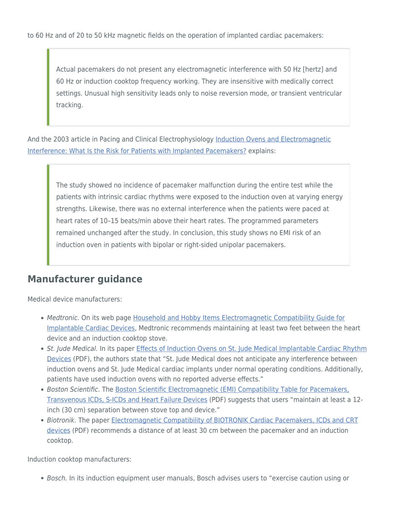to 60 Hz and of 20 to 50 kHz magnetic fields on the operation of implanted cardiac pacemakers:

Actual pacemakers do not present any electromagnetic interference with 50 Hz [hertz] and 60 Hz or induction cooktop frequency working. They are insensitive with medically correct settings. Unusual high sensitivity leads only to noise reversion mode, or transient ventricular tracking.

And the 2003 article in Pacing and Clinical Electrophysiology [Induction Ovens and Electromagnetic](https://www.researchgate.net/publication/10616327_Induction_Ovens_and_Electromagnetic_Interference_What_is_the_Risk_for_Patients_with_Implanted_Pacemakers) [Interference: What Is the Risk for Patients with Implanted Pacemakers?](https://www.researchgate.net/publication/10616327_Induction_Ovens_and_Electromagnetic_Interference_What_is_the_Risk_for_Patients_with_Implanted_Pacemakers) explains:

The study showed no incidence of pacemaker malfunction during the entire test while the patients with intrinsic cardiac rhythms were exposed to the induction oven at varying energy strengths. Likewise, there was no external interference when the patients were paced at heart rates of 10–15 beats/min above their heart rates. The programmed parameters remained unchanged after the study. In conclusion, this study shows no EMI risk of an induction oven in patients with bipolar or right-sided unipolar pacemakers.

#### **Manufacturer guidance**

Medical device manufacturers:

- Medtronic. On its web page [Household and Hobby Items Electromagnetic Compatibility Guide for](https://www.medtronic.com/us-en/patients/electromagnetic-guide/household-hobby.html) [Implantable Cardiac Devices,](https://www.medtronic.com/us-en/patients/electromagnetic-guide/household-hobby.html) Medtronic recommends maintaining at least two feet between the heart device and an induction cooktop stove.
- St. Jude Medical. In its paper [Effects of Induction Ovens on St. Jude Medical Implantable Cardiac Rhythm](https://professional.sjm.com/~/media/pro/resources/emi/personal-office/fl-induction-oven-042012.pdf) [Devices](https://professional.sjm.com/~/media/pro/resources/emi/personal-office/fl-induction-oven-042012.pdf) (PDF), the authors state that "St. Jude Medical does not anticipate any interference between induction ovens and St. Jude Medical cardiac implants under normal operating conditions. Additionally, patients have used induction ovens with no reported adverse effects."
- Boston Scientific. The [Boston Scientific Electromagnetic \(EMI\) Compatibility Table for Pacemakers,](https://www.bostonscientific.com/content/dam/lifebeat-online/en/documents/BSC_Electromagnetic_Compatibility_Guide.pdf) [Transvenous ICDs, S-ICDs and Heart Failure Devices](https://www.bostonscientific.com/content/dam/lifebeat-online/en/documents/BSC_Electromagnetic_Compatibility_Guide.pdf) (PDF) suggests that users "maintain at least a 12 inch (30 cm) separation between stove top and device."
- Biotronik. The paper [Electromagnetic Compatibility of BIOTRONIK Cardiac Pacemakers, ICDs and CRT](https://biotronik.cdn.mediamid.com/cdn_bio_doc/bio23016/8207/bio23016.pdf) [devices](https://biotronik.cdn.mediamid.com/cdn_bio_doc/bio23016/8207/bio23016.pdf) (PDF) recommends a distance of at least 30 cm between the pacemaker and an induction cooktop.

Induction cooktop manufacturers:

• Bosch. In its induction equipment user manuals, Bosch advises users to "exercise caution using or